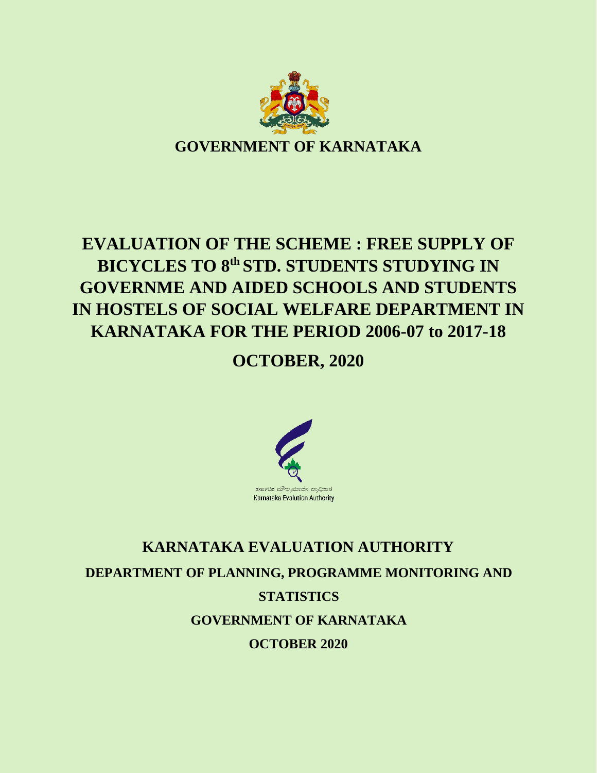

# **EVALUATION OF THE SCHEME : FREE SUPPLY OF BICYCLES TO 8th STD. STUDENTS STUDYING IN GOVERNME AND AIDED SCHOOLS AND STUDENTS IN HOSTELS OF SOCIAL WELFARE DEPARTMENT IN KARNATAKA FOR THE PERIOD 2006-07 to 2017-18**

**OCTOBER, 2020**



# **KARNATAKA EVALUATION AUTHORITY DEPARTMENT OF PLANNING, PROGRAMME MONITORING AND STATISTICS GOVERNMENT OF KARNATAKA OCTOBER 2020**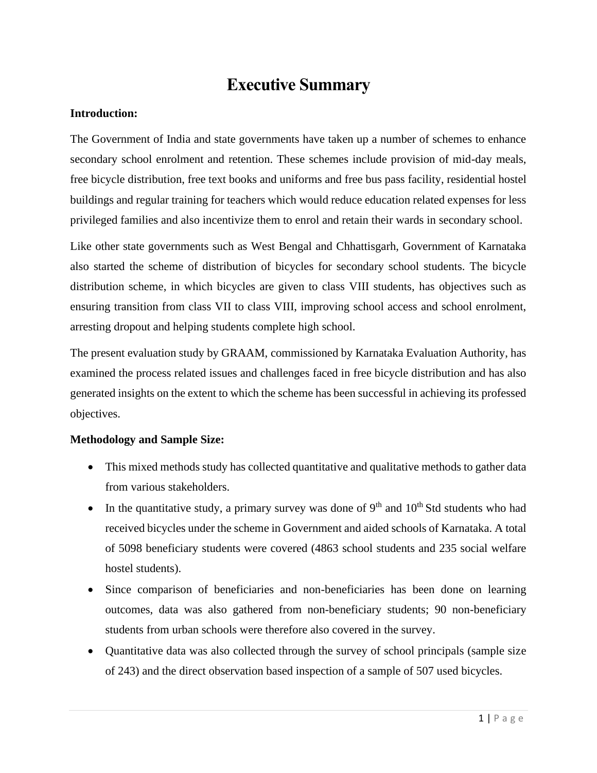# **Executive Summary**

#### **Introduction:**

The Government of India and state governments have taken up a number of schemes to enhance secondary school enrolment and retention. These schemes include provision of mid-day meals, free bicycle distribution, free text books and uniforms and free bus pass facility, residential hostel buildings and regular training for teachers which would reduce education related expenses for less privileged families and also incentivize them to enrol and retain their wards in secondary school.

Like other state governments such as West Bengal and Chhattisgarh, Government of Karnataka also started the scheme of distribution of bicycles for secondary school students. The bicycle distribution scheme, in which bicycles are given to class VIII students, has objectives such as ensuring transition from class VII to class VIII, improving school access and school enrolment, arresting dropout and helping students complete high school.

The present evaluation study by GRAAM, commissioned by Karnataka Evaluation Authority, has examined the process related issues and challenges faced in free bicycle distribution and has also generated insights on the extent to which the scheme has been successful in achieving its professed objectives.

#### **Methodology and Sample Size:**

- This mixed methods study has collected quantitative and qualitative methods to gather data from various stakeholders.
- In the quantitative study, a primary survey was done of  $9<sup>th</sup>$  and  $10<sup>th</sup>$  Std students who had received bicycles under the scheme in Government and aided schools of Karnataka. A total of 5098 beneficiary students were covered (4863 school students and 235 social welfare hostel students).
- Since comparison of beneficiaries and non-beneficiaries has been done on learning outcomes, data was also gathered from non-beneficiary students; 90 non-beneficiary students from urban schools were therefore also covered in the survey.
- Quantitative data was also collected through the survey of school principals (sample size of 243) and the direct observation based inspection of a sample of 507 used bicycles.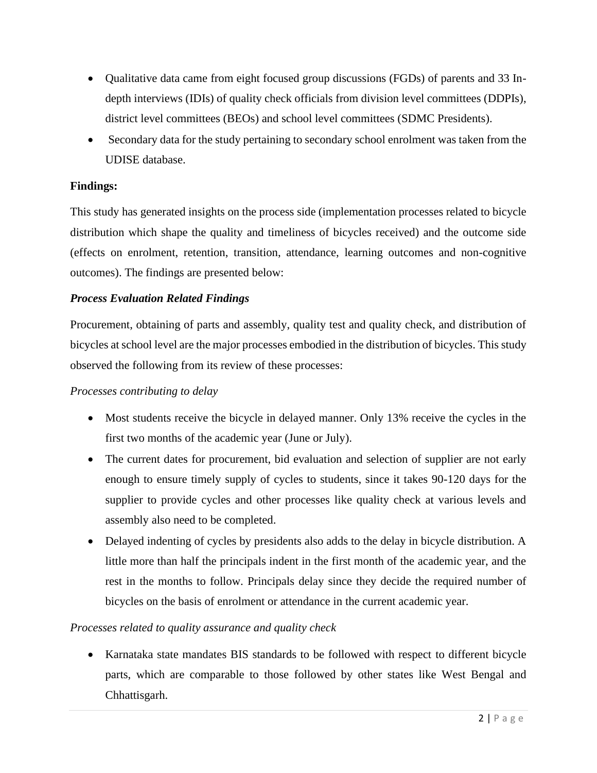- Qualitative data came from eight focused group discussions (FGDs) of parents and 33 Indepth interviews (IDIs) of quality check officials from division level committees (DDPIs), district level committees (BEOs) and school level committees (SDMC Presidents).
- Secondary data for the study pertaining to secondary school enrolment was taken from the UDISE database.

# **Findings:**

This study has generated insights on the process side (implementation processes related to bicycle distribution which shape the quality and timeliness of bicycles received) and the outcome side (effects on enrolment, retention, transition, attendance, learning outcomes and non-cognitive outcomes). The findings are presented below:

# *Process Evaluation Related Findings*

Procurement, obtaining of parts and assembly, quality test and quality check, and distribution of bicycles at school level are the major processes embodied in the distribution of bicycles. This study observed the following from its review of these processes:

# *Processes contributing to delay*

- Most students receive the bicycle in delayed manner. Only 13% receive the cycles in the first two months of the academic year (June or July).
- The current dates for procurement, bid evaluation and selection of supplier are not early enough to ensure timely supply of cycles to students, since it takes 90-120 days for the supplier to provide cycles and other processes like quality check at various levels and assembly also need to be completed.
- Delayed indenting of cycles by presidents also adds to the delay in bicycle distribution. A little more than half the principals indent in the first month of the academic year, and the rest in the months to follow. Principals delay since they decide the required number of bicycles on the basis of enrolment or attendance in the current academic year.

# *Processes related to quality assurance and quality check*

• Karnataka state mandates BIS standards to be followed with respect to different bicycle parts, which are comparable to those followed by other states like West Bengal and Chhattisgarh.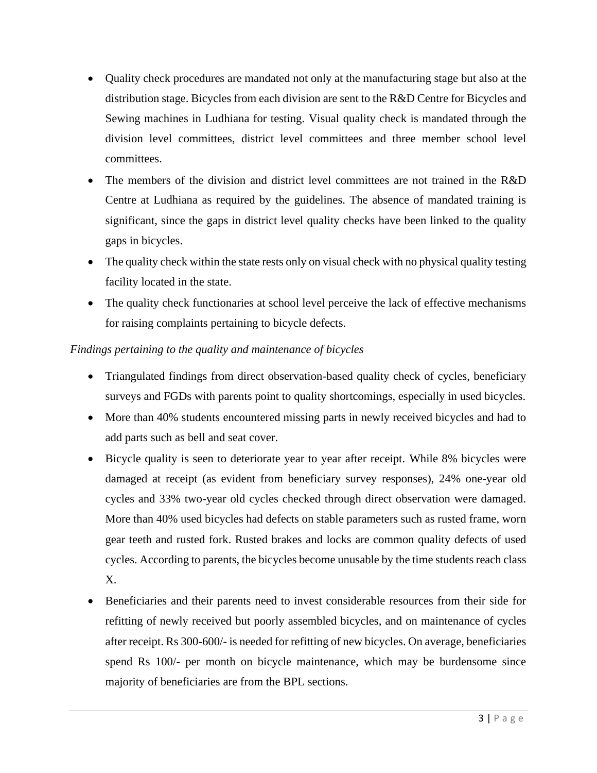- Quality check procedures are mandated not only at the manufacturing stage but also at the distribution stage. Bicycles from each division are sent to the R&D Centre for Bicycles and Sewing machines in Ludhiana for testing. Visual quality check is mandated through the division level committees, district level committees and three member school level committees.
- The members of the division and district level committees are not trained in the R&D Centre at Ludhiana as required by the guidelines. The absence of mandated training is significant, since the gaps in district level quality checks have been linked to the quality gaps in bicycles.
- The quality check within the state rests only on visual check with no physical quality testing facility located in the state.
- The quality check functionaries at school level perceive the lack of effective mechanisms for raising complaints pertaining to bicycle defects.

# *Findings pertaining to the quality and maintenance of bicycles*

- Triangulated findings from direct observation-based quality check of cycles, beneficiary surveys and FGDs with parents point to quality shortcomings, especially in used bicycles.
- More than 40% students encountered missing parts in newly received bicycles and had to add parts such as bell and seat cover.
- Bicycle quality is seen to deteriorate year to year after receipt. While 8% bicycles were damaged at receipt (as evident from beneficiary survey responses), 24% one-year old cycles and 33% two-year old cycles checked through direct observation were damaged. More than 40% used bicycles had defects on stable parameters such as rusted frame, worn gear teeth and rusted fork. Rusted brakes and locks are common quality defects of used cycles. According to parents, the bicycles become unusable by the time students reach class X.
- Beneficiaries and their parents need to invest considerable resources from their side for refitting of newly received but poorly assembled bicycles, and on maintenance of cycles after receipt. Rs 300-600/- is needed for refitting of new bicycles. On average, beneficiaries spend Rs 100/- per month on bicycle maintenance, which may be burdensome since majority of beneficiaries are from the BPL sections.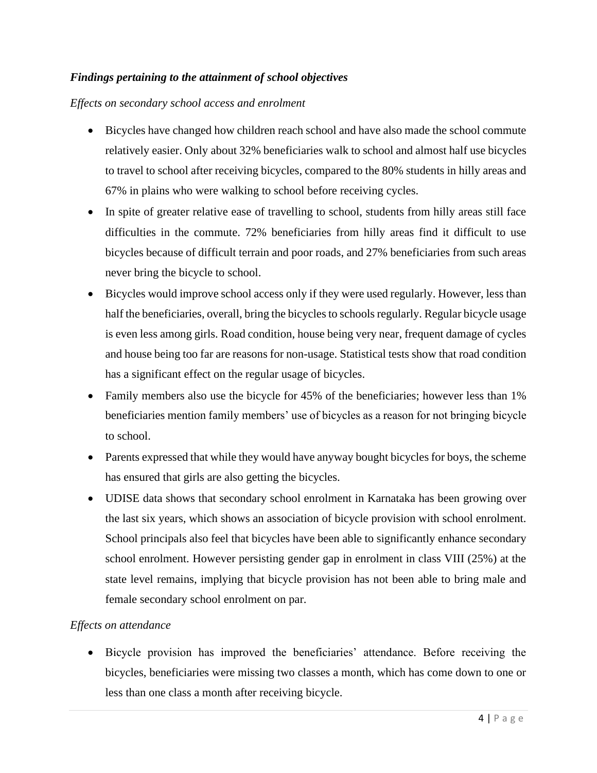# *Findings pertaining to the attainment of school objectives*

#### *Effects on secondary school access and enrolment*

- Bicycles have changed how children reach school and have also made the school commute relatively easier. Only about 32% beneficiaries walk to school and almost half use bicycles to travel to school after receiving bicycles, compared to the 80% students in hilly areas and 67% in plains who were walking to school before receiving cycles.
- In spite of greater relative ease of travelling to school, students from hilly areas still face difficulties in the commute. 72% beneficiaries from hilly areas find it difficult to use bicycles because of difficult terrain and poor roads, and 27% beneficiaries from such areas never bring the bicycle to school.
- Bicycles would improve school access only if they were used regularly. However, less than half the beneficiaries, overall, bring the bicycles to schools regularly. Regular bicycle usage is even less among girls. Road condition, house being very near, frequent damage of cycles and house being too far are reasons for non-usage. Statistical tests show that road condition has a significant effect on the regular usage of bicycles.
- Family members also use the bicycle for 45% of the beneficiaries; however less than 1% beneficiaries mention family members' use of bicycles as a reason for not bringing bicycle to school.
- Parents expressed that while they would have anyway bought bicycles for boys, the scheme has ensured that girls are also getting the bicycles.
- UDISE data shows that secondary school enrolment in Karnataka has been growing over the last six years, which shows an association of bicycle provision with school enrolment. School principals also feel that bicycles have been able to significantly enhance secondary school enrolment. However persisting gender gap in enrolment in class VIII (25%) at the state level remains, implying that bicycle provision has not been able to bring male and female secondary school enrolment on par.

# *Effects on attendance*

• Bicycle provision has improved the beneficiaries' attendance. Before receiving the bicycles, beneficiaries were missing two classes a month, which has come down to one or less than one class a month after receiving bicycle.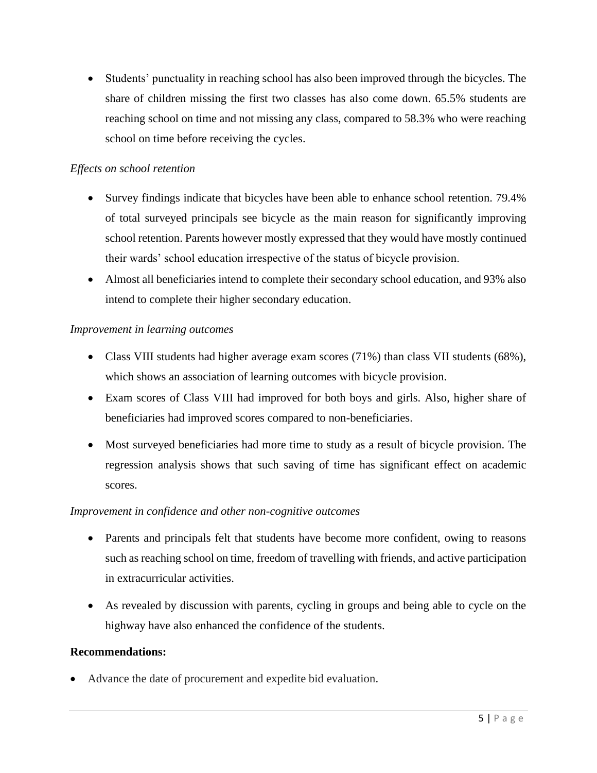• Students' punctuality in reaching school has also been improved through the bicycles. The share of children missing the first two classes has also come down. 65.5% students are reaching school on time and not missing any class, compared to 58.3% who were reaching school on time before receiving the cycles.

# *Effects on school retention*

- Survey findings indicate that bicycles have been able to enhance school retention. 79.4% of total surveyed principals see bicycle as the main reason for significantly improving school retention. Parents however mostly expressed that they would have mostly continued their wards' school education irrespective of the status of bicycle provision.
- Almost all beneficiaries intend to complete their secondary school education, and 93% also intend to complete their higher secondary education.

# *Improvement in learning outcomes*

- Class VIII students had higher average exam scores (71%) than class VII students (68%), which shows an association of learning outcomes with bicycle provision.
- Exam scores of Class VIII had improved for both boys and girls. Also, higher share of beneficiaries had improved scores compared to non-beneficiaries.
- Most surveyed beneficiaries had more time to study as a result of bicycle provision. The regression analysis shows that such saving of time has significant effect on academic scores.

# *Improvement in confidence and other non-cognitive outcomes*

- Parents and principals felt that students have become more confident, owing to reasons such as reaching school on time, freedom of travelling with friends, and active participation in extracurricular activities.
- As revealed by discussion with parents, cycling in groups and being able to cycle on the highway have also enhanced the confidence of the students.

# **Recommendations:**

Advance the date of procurement and expedite bid evaluation.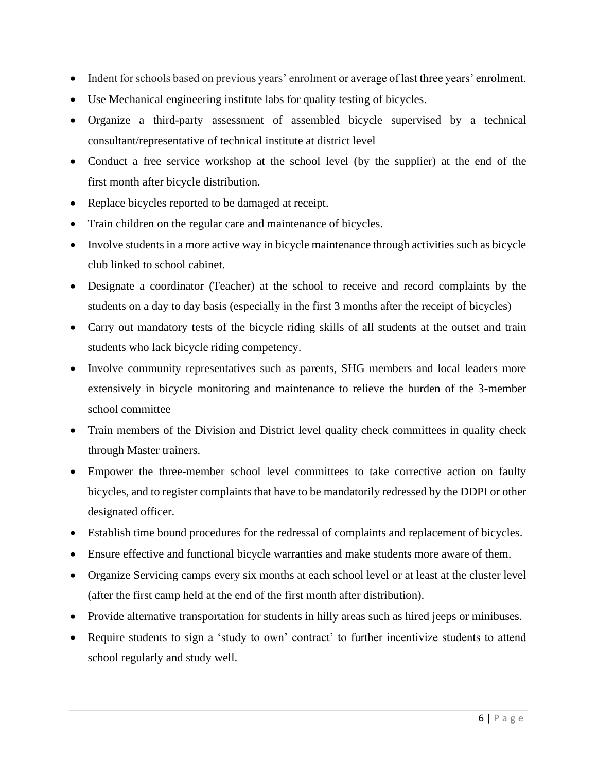- Indent for schools based on previous years' enrolment or average of last three years' enrolment.
- Use Mechanical engineering institute labs for quality testing of bicycles.
- Organize a third-party assessment of assembled bicycle supervised by a technical consultant/representative of technical institute at district level
- Conduct a free service workshop at the school level (by the supplier) at the end of the first month after bicycle distribution.
- Replace bicycles reported to be damaged at receipt.
- Train children on the regular care and maintenance of bicycles.
- Involve students in a more active way in bicycle maintenance through activities such as bicycle club linked to school cabinet.
- Designate a coordinator (Teacher) at the school to receive and record complaints by the students on a day to day basis (especially in the first 3 months after the receipt of bicycles)
- Carry out mandatory tests of the bicycle riding skills of all students at the outset and train students who lack bicycle riding competency.
- Involve community representatives such as parents, SHG members and local leaders more extensively in bicycle monitoring and maintenance to relieve the burden of the 3-member school committee
- Train members of the Division and District level quality check committees in quality check through Master trainers.
- Empower the three-member school level committees to take corrective action on faulty bicycles, and to register complaints that have to be mandatorily redressed by the DDPI or other designated officer.
- Establish time bound procedures for the redressal of complaints and replacement of bicycles.
- Ensure effective and functional bicycle warranties and make students more aware of them.
- Organize Servicing camps every six months at each school level or at least at the cluster level (after the first camp held at the end of the first month after distribution).
- Provide alternative transportation for students in hilly areas such as hired jeeps or minibuses.
- Require students to sign a 'study to own' contract' to further incentivize students to attend school regularly and study well.